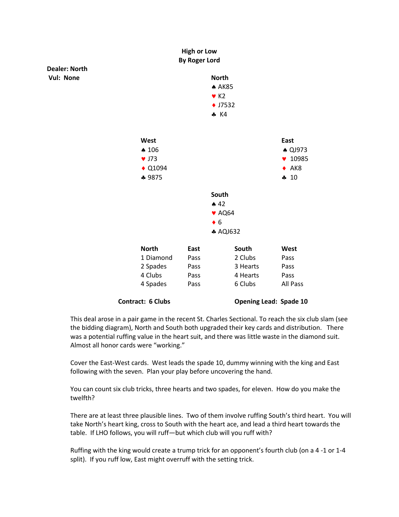

This deal arose in a pair game in the recent St. Charles Sectional. To reach the six club slam (see the bidding diagram), North and South both upgraded their key cards and distribution. There was a potential ruffing value in the heart suit, and there was little waste in the diamond suit. Almost all honor cards were "working."

Cover the East-West cards. West leads the spade 10, dummy winning with the king and East following with the seven. Plan your play before uncovering the hand.

You can count six club tricks, three hearts and two spades, for eleven. How do you make the twelfth?

There are at least three plausible lines. Two of them involve ruffing South's third heart. You will take North's heart king, cross to South with the heart ace, and lead a third heart towards the table. If LHO follows, you will ruff—but which club will you ruff with?

Ruffing with the king would create a trump trick for an opponent's fourth club (on a 4 -1 or 1-4 split). If you ruff low, East might overruff with the setting trick.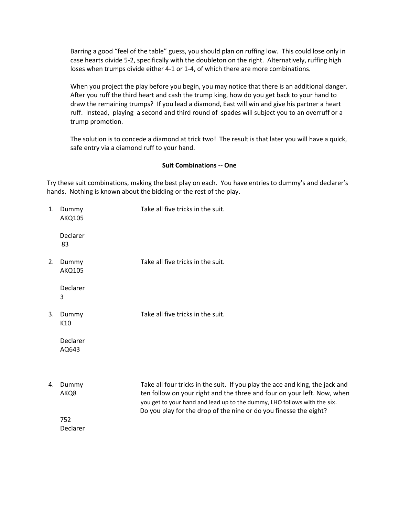Barring a good "feel of the table" guess, you should plan on ruffing low. This could lose only in case hearts divide 5-2, specifically with the doubleton on the right. Alternatively, ruffing high loses when trumps divide either 4-1 or 1-4, of which there are more combinations.

When you project the play before you begin, you may notice that there is an additional danger. After you ruff the third heart and cash the trump king, how do you get back to your hand to draw the remaining trumps? If you lead a diamond, East will win and give his partner a heart ruff. Instead, playing a second and third round of spades will subject you to an overruff or a trump promotion.

The solution is to concede a diamond at trick two! The result is that later you will have a quick, safe entry via a diamond ruff to your hand.

## **Suit Combinations -- One**

Try these suit combinations, making the best play on each. You have entries to dummy's and declarer's hands. Nothing is known about the bidding or the rest of the play.

| 1. | Dummy<br><b>AKQ105</b> | Take all five tricks in the suit.                                                                                                                                                                                                                                                                        |
|----|------------------------|----------------------------------------------------------------------------------------------------------------------------------------------------------------------------------------------------------------------------------------------------------------------------------------------------------|
|    | Declarer<br>83         |                                                                                                                                                                                                                                                                                                          |
| 2. | Dummy<br><b>AKQ105</b> | Take all five tricks in the suit.                                                                                                                                                                                                                                                                        |
|    | Declarer<br>3          |                                                                                                                                                                                                                                                                                                          |
| 3. | Dummy<br>K10           | Take all five tricks in the suit.                                                                                                                                                                                                                                                                        |
|    | Declarer<br>AQ643      |                                                                                                                                                                                                                                                                                                          |
| 4. | Dummy<br>AKQ8          | Take all four tricks in the suit. If you play the ace and king, the jack and<br>ten follow on your right and the three and four on your left. Now, when<br>you get to your hand and lead up to the dummy, LHO follows with the six.<br>Do you play for the drop of the nine or do you finesse the eight? |
|    | 752<br>Declarer        |                                                                                                                                                                                                                                                                                                          |